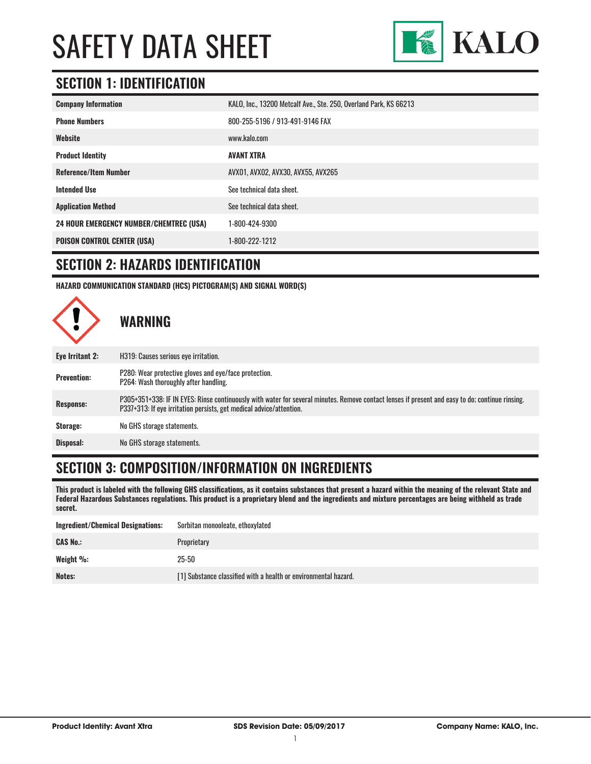

### **SECTION 1: IDENTIFICATION**

| <b>Company Information</b>                     | KALO, Inc., 13200 Metcalf Ave., Ste. 250, Overland Park, KS 66213 |
|------------------------------------------------|-------------------------------------------------------------------|
| <b>Phone Numbers</b>                           | 800-255-5196 / 913-491-9146 FAX                                   |
| Website                                        | www.kalo.com                                                      |
| <b>Product Identity</b>                        | <b>AVANT XTRA</b>                                                 |
| <b>Reference/Item Number</b>                   | AVX01, AVX02, AVX30, AVX55, AVX265                                |
| <b>Intended Use</b>                            | See technical data sheet.                                         |
| <b>Application Method</b>                      | See technical data sheet.                                         |
| <b>24 HOUR EMERGENCY NUMBER/CHEMTREC (USA)</b> | 1-800-424-9300                                                    |
| <b>POISON CONTROL CENTER (USA)</b>             | 1-800-222-1212                                                    |

#### **SECTION 2: HAZARDS IDENTIFICATION**

**HAZARD COMMUNICATION STANDARD (HCS) PICTOGRAM(S) AND SIGNAL WORD(S)**



### **SECTION 3: COMPOSITION/INFORMATION ON INGREDIENTS**

**This product is labeled with the following GHS classifications, as it contains substances that present a hazard within the meaning of the relevant State and Federal Hazardous Substances regulations. This product is a proprietary blend and the ingredients and mixture percentages are being withheld as trade secret.**

| Ingredient/Chemical Designations: | Sorbitan monooleate, ethoxylated                                |
|-----------------------------------|-----------------------------------------------------------------|
| <b>CAS No.:</b>                   | Proprietary                                                     |
| Weight %:                         | $25 - 50$                                                       |
| Notes:                            | [1] Substance classified with a health or environmental hazard. |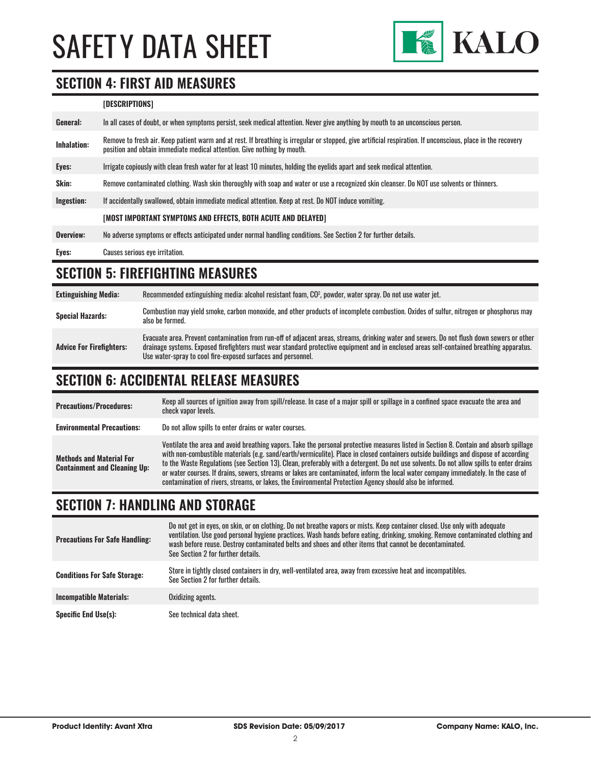

#### **SECTION 4: FIRST AID MEASURES**

#### **[DESCRIPTIONS]**

| General:           | In all cases of doubt, or when symptoms persist, seek medical attention. Never give anything by mouth to an unconscious person.                                                                                                         |  |
|--------------------|-----------------------------------------------------------------------------------------------------------------------------------------------------------------------------------------------------------------------------------------|--|
| <b>Inhalation:</b> | Remove to fresh air. Keep patient warm and at rest. If breathing is irregular or stopped, give artificial respiration. If unconscious, place in the recovery<br>position and obtain immediate medical attention. Give nothing by mouth. |  |
| Eyes:              | Irrigate copiously with clean fresh water for at least 10 minutes, holding the eyelids apart and seek medical attention.                                                                                                                |  |
| <b>Skin:</b>       | Remove contaminated clothing. Wash skin thoroughly with soap and water or use a recognized skin cleanser. Do NOT use solvents or thinners.                                                                                              |  |
| Ingestion:         | If accidentally swallowed, obtain immediate medical attention. Keep at rest. Do NOT induce vomiting.                                                                                                                                    |  |
|                    | [MOST IMPORTANT SYMPTOMS AND EFFECTS, BOTH ACUTE AND DELAYED]                                                                                                                                                                           |  |
| Overview:          | No adverse symptoms or effects anticipated under normal handling conditions. See Section 2 for further details.                                                                                                                         |  |
| Eyes:              | <b>Causes serious eve irritation.</b>                                                                                                                                                                                                   |  |

## **SECTION 5: FIREFIGHTING MEASURES**

| <b>Extinguishing Media:</b>     | Recommended extinguishing media: alcohol resistant foam, CO <sup>2</sup> , powder, water spray. Do not use water jet.                                                                                                                                                                                                                                  |
|---------------------------------|--------------------------------------------------------------------------------------------------------------------------------------------------------------------------------------------------------------------------------------------------------------------------------------------------------------------------------------------------------|
| <b>Special Hazards:</b>         | Combustion may yield smoke, carbon monoxide, and other products of incomplete combustion. Oxides of sulfur, nitrogen or phosphorus may<br>also be formed.                                                                                                                                                                                              |
| <b>Advice For Firefighters:</b> | Evacuate area. Prevent contamination from run-off of adjacent areas, streams, drinking water and sewers. Do not flush down sewers or other<br>drainage systems. Exposed firefighters must wear standard protective equipment and in enclosed areas self-contained breathing apparatus.<br>Use water-spray to cool fire-exposed surfaces and personnel. |

### **SECTION 6: ACCIDENTAL RELEASE MEASURES**

| <b>Precautions/Procedures:</b>                                         | Keep all sources of ignition away from spill/release. In case of a major spill or spillage in a confined space evacuate the area and<br>check vapor levels.                                                                                                                                                                                                                                                                                                                                                                                                                                                                                                               |
|------------------------------------------------------------------------|---------------------------------------------------------------------------------------------------------------------------------------------------------------------------------------------------------------------------------------------------------------------------------------------------------------------------------------------------------------------------------------------------------------------------------------------------------------------------------------------------------------------------------------------------------------------------------------------------------------------------------------------------------------------------|
| <b>Environmental Precautions:</b>                                      | Do not allow spills to enter drains or water courses.                                                                                                                                                                                                                                                                                                                                                                                                                                                                                                                                                                                                                     |
| <b>Methods and Material For</b><br><b>Containment and Cleaning Up:</b> | Ventilate the area and avoid breathing vapors. Take the personal protective measures listed in Section 8. Contain and absorb spillage<br>with non-combustible materials (e.g. sand/earth/vermiculite). Place in closed containers outside buildings and dispose of according<br>to the Waste Regulations (see Section 13). Clean, preferably with a detergent. Do not use solvents. Do not allow spills to enter drains<br>or water courses. If drains, sewers, streams or lakes are contaminated, inform the local water company immediately. In the case of<br>contamination of rivers, streams, or lakes, the Environmental Protection Agency should also be informed. |

#### **SECTION 7: HANDLING AND STORAGE**

| <b>Precautions For Safe Handling:</b> | Do not get in eyes, on skin, or on clothing. Do not breathe vapors or mists. Keep container closed. Use only with adequate<br>ventilation. Use good personal hygiene practices. Wash hands before eating, drinking, smoking. Remove contaminated clothing and<br>wash before reuse. Destroy contaminated belts and shoes and other items that cannot be decontaminated.<br>See Section 2 for further details. |
|---------------------------------------|---------------------------------------------------------------------------------------------------------------------------------------------------------------------------------------------------------------------------------------------------------------------------------------------------------------------------------------------------------------------------------------------------------------|
| <b>Conditions For Safe Storage:</b>   | Store in tightly closed containers in dry, well-ventilated area, away from excessive heat and incompatibles.<br>See Section 2 for further details.                                                                                                                                                                                                                                                            |
| <b>Incompatible Materials:</b>        | Oxidizing agents.                                                                                                                                                                                                                                                                                                                                                                                             |
| <b>Specific End Use(s):</b>           | See technical data sheet.                                                                                                                                                                                                                                                                                                                                                                                     |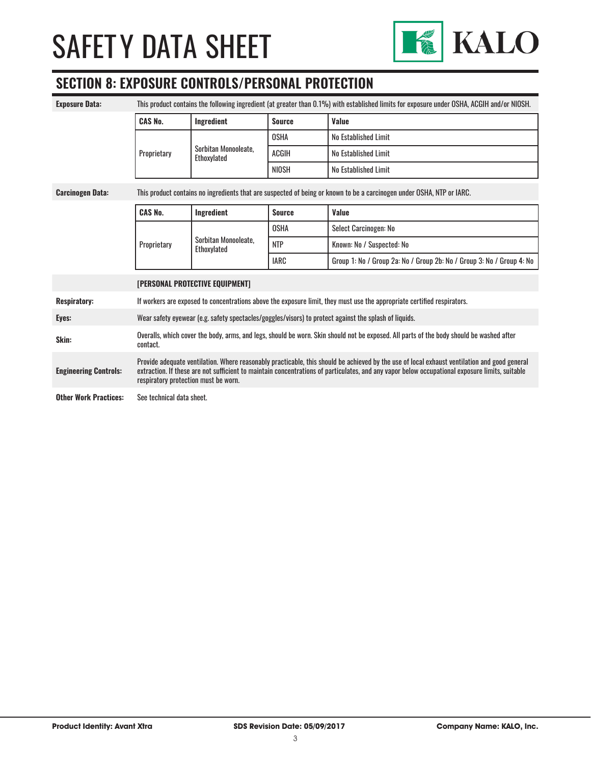

### **SECTION 8: EXPOSURE CONTROLS/PERSONAL PROTECTION**

| <b>Exposure Data:</b>                                                                                                                            | This product contains the following ingredient (at greater than 0.1%) with established limits for exposure under OSHA, ACGIH and/or NIOSH.                                                                                                                                                                                             |                                     |               |                                                                       |
|--------------------------------------------------------------------------------------------------------------------------------------------------|----------------------------------------------------------------------------------------------------------------------------------------------------------------------------------------------------------------------------------------------------------------------------------------------------------------------------------------|-------------------------------------|---------------|-----------------------------------------------------------------------|
|                                                                                                                                                  | <b>CAS No.</b>                                                                                                                                                                                                                                                                                                                         | Ingredient                          | <b>Source</b> | Value                                                                 |
|                                                                                                                                                  | Proprietary                                                                                                                                                                                                                                                                                                                            | Sorbitan Monooleate.<br>Ethoxylated | <b>OSHA</b>   | No Established Limit                                                  |
|                                                                                                                                                  |                                                                                                                                                                                                                                                                                                                                        |                                     | <b>ACGIH</b>  | No Established Limit                                                  |
|                                                                                                                                                  |                                                                                                                                                                                                                                                                                                                                        |                                     | <b>NIOSH</b>  | No Established Limit                                                  |
| This product contains no ingredients that are suspected of being or known to be a carcinogen under OSHA, NTP or IARC.<br><b>Carcinogen Data:</b> |                                                                                                                                                                                                                                                                                                                                        |                                     |               |                                                                       |
|                                                                                                                                                  | <b>CAS No.</b>                                                                                                                                                                                                                                                                                                                         | Ingredient                          | <b>Source</b> | Value                                                                 |
|                                                                                                                                                  |                                                                                                                                                                                                                                                                                                                                        |                                     | <b>OSHA</b>   | Select Carcinogen: No                                                 |
|                                                                                                                                                  | Proprietary                                                                                                                                                                                                                                                                                                                            | Sorbitan Monooleate,<br>Ethoxylated | <b>NTP</b>    | Known: No / Suspected: No                                             |
|                                                                                                                                                  |                                                                                                                                                                                                                                                                                                                                        |                                     | <b>IARC</b>   | Group 1: No / Group 2a: No / Group 2b: No / Group 3: No / Group 4: No |
|                                                                                                                                                  | <b>[PERSONAL PROTECTIVE EQUIPMENT]</b>                                                                                                                                                                                                                                                                                                 |                                     |               |                                                                       |
| <b>Respiratory:</b>                                                                                                                              | If workers are exposed to concentrations above the exposure limit, they must use the appropriate certified respirators.                                                                                                                                                                                                                |                                     |               |                                                                       |
| Eyes:                                                                                                                                            | Wear safety eyewear (e.g. safety spectacles/goggles/visors) to protect against the splash of liquids.                                                                                                                                                                                                                                  |                                     |               |                                                                       |
| Skin:                                                                                                                                            | Overalls, which cover the body, arms, and legs, should be worn. Skin should not be exposed. All parts of the body should be washed after<br>contact.                                                                                                                                                                                   |                                     |               |                                                                       |
| <b>Engineering Controls:</b>                                                                                                                     | Provide adequate ventilation. Where reasonably practicable, this should be achieved by the use of local exhaust ventilation and good general<br>extraction. If these are not sufficient to maintain concentrations of particulates, and any vapor below occupational exposure limits, suitable<br>respiratory protection must be worn. |                                     |               |                                                                       |
| <b>Other Work Practices:</b>                                                                                                                     | See technical data sheet.                                                                                                                                                                                                                                                                                                              |                                     |               |                                                                       |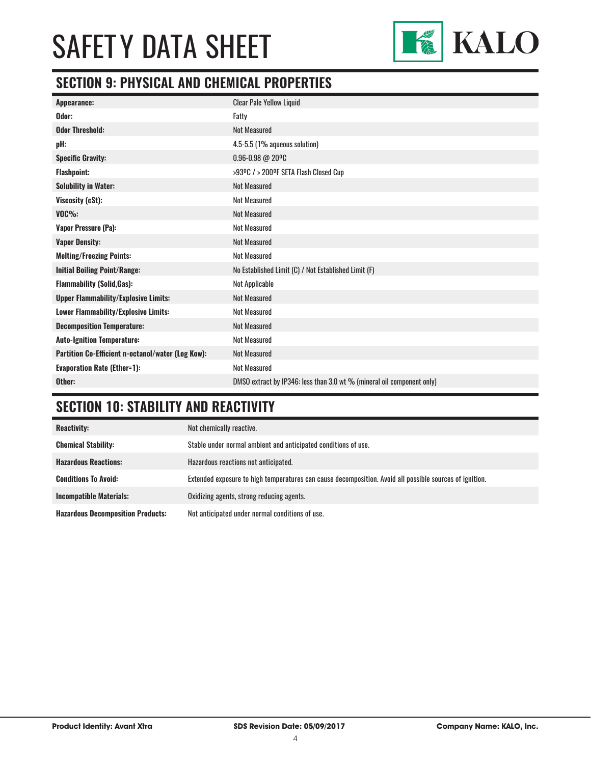

### **SECTION 9: PHYSICAL AND CHEMICAL PROPERTIES**

| Appearance:                                       | <b>Clear Pale Yellow Liquid</b>                                        |
|---------------------------------------------------|------------------------------------------------------------------------|
| Odor:                                             | Fatty                                                                  |
| <b>Odor Threshold:</b>                            | <b>Not Measured</b>                                                    |
| pH:                                               | 4.5-5.5 (1% aqueous solution)                                          |
| <b>Specific Gravity:</b>                          | $0.96 - 0.98 @ 20°C$                                                   |
| <b>Flashpoint:</b>                                | >93ºC / > 200ºF SETA Flash Closed Cup                                  |
| <b>Solubility in Water:</b>                       | <b>Not Measured</b>                                                    |
| Viscosity (cSt):                                  | <b>Not Measured</b>                                                    |
| $VOC\%$ :                                         | <b>Not Measured</b>                                                    |
| Vapor Pressure (Pa):                              | <b>Not Measured</b>                                                    |
| <b>Vapor Density:</b>                             | <b>Not Measured</b>                                                    |
| <b>Melting/Freezing Points:</b>                   | <b>Not Measured</b>                                                    |
| <b>Initial Boiling Point/Range:</b>               | No Established Limit (C) / Not Established Limit (F)                   |
| <b>Flammability (Solid, Gas):</b>                 | Not Applicable                                                         |
| <b>Upper Flammability/Explosive Limits:</b>       | <b>Not Measured</b>                                                    |
| Lower Flammability/Explosive Limits:              | <b>Not Measured</b>                                                    |
| <b>Decomposition Temperature:</b>                 | <b>Not Measured</b>                                                    |
| <b>Auto-Ignition Temperature:</b>                 | <b>Not Measured</b>                                                    |
| Partition Co-Efficient n-octanol/water (Log Kow): | <b>Not Measured</b>                                                    |
| <b>Evaporation Rate (Ether=1):</b>                | <b>Not Measured</b>                                                    |
| Other:                                            | DMSO extract by IP346: less than 3.0 wt % (mineral oil component only) |

## **SECTION 10: STABILITY AND REACTIVITY**

| <b>Reactivity:</b>                       | Not chemically reactive.                                                                                |
|------------------------------------------|---------------------------------------------------------------------------------------------------------|
| <b>Chemical Stability:</b>               | Stable under normal ambient and anticipated conditions of use.                                          |
| <b>Hazardous Reactions:</b>              | Hazardous reactions not anticipated.                                                                    |
| <b>Conditions To Avoid:</b>              | Extended exposure to high temperatures can cause decomposition. Avoid all possible sources of ignition. |
| <b>Incompatible Materials:</b>           | Oxidizing agents, strong reducing agents.                                                               |
| <b>Hazardous Decomposition Products:</b> | Not anticipated under normal conditions of use.                                                         |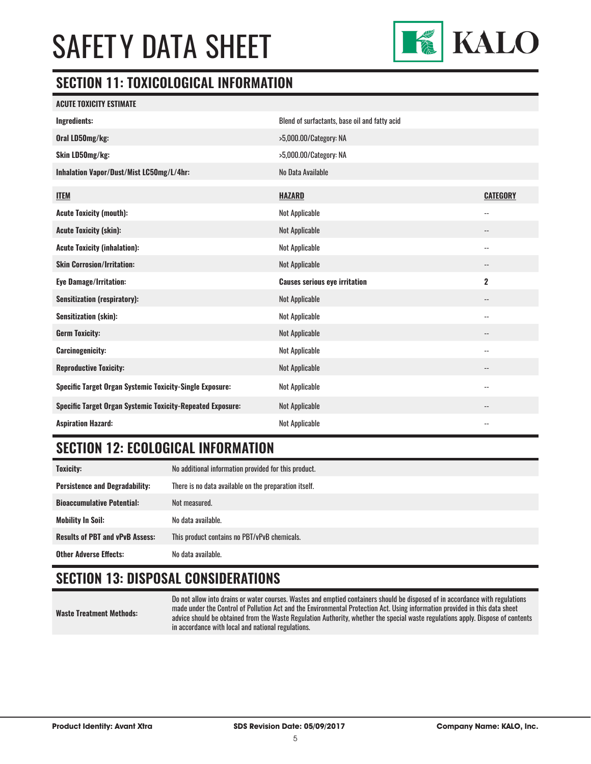

#### **SECTION 11: TOXICOLOGICAL INFORMATION**

| <b>ACUTE TOXICITY ESTIMATE</b>                                    |                                               |                          |
|-------------------------------------------------------------------|-----------------------------------------------|--------------------------|
| Ingredients:                                                      | Blend of surfactants, base oil and fatty acid |                          |
| Oral LD50mg/kg:                                                   | >5,000.00/Category: NA                        |                          |
| Skin LD50mg/kg:                                                   | >5,000.00/Category: NA                        |                          |
| Inhalation Vapor/Dust/Mist LC50mg/L/4hr:                          | No Data Available                             |                          |
| <b>ITEM</b>                                                       | <b>HAZARD</b>                                 | <b>CATEGORY</b>          |
| <b>Acute Toxicity (mouth):</b>                                    | Not Applicable                                | --                       |
| <b>Acute Toxicity (skin):</b>                                     | <b>Not Applicable</b>                         | --                       |
| <b>Acute Toxicity (inhalation):</b>                               | Not Applicable                                | --                       |
| <b>Skin Corrosion/Irritation:</b>                                 | Not Applicable                                |                          |
| <b>Eye Damage/Irritation:</b>                                     | <b>Causes serious eye irritation</b>          | $\overline{2}$           |
| <b>Sensitization (respiratory):</b>                               | Not Applicable                                | --                       |
| <b>Sensitization (skin):</b>                                      | Not Applicable                                | $\overline{\phantom{a}}$ |
| <b>Germ Toxicity:</b>                                             | Not Applicable                                | --                       |
| <b>Carcinogenicity:</b>                                           | Not Applicable                                | $\overline{\phantom{a}}$ |
| <b>Reproductive Toxicity:</b>                                     | Not Applicable                                | --                       |
| <b>Specific Target Organ Systemic Toxicity-Single Exposure:</b>   | Not Applicable                                | --                       |
| <b>Specific Target Organ Systemic Toxicity-Repeated Exposure:</b> | Not Applicable                                |                          |
| <b>Aspiration Hazard:</b>                                         | Not Applicable                                |                          |

### **SECTION 12: ECOLOGICAL INFORMATION**

| <b>Toxicity:</b>                       | No additional information provided for this product.  |
|----------------------------------------|-------------------------------------------------------|
| <b>Persistence and Degradability:</b>  | There is no data available on the preparation itself. |
| <b>Bioaccumulative Potential:</b>      | Not measured.                                         |
| <b>Mobility In Soil:</b>               | No data available.                                    |
| <b>Results of PBT and vPvB Assess:</b> | This product contains no PBT/vPvB chemicals.          |
| <b>Other Adverse Effects:</b>          | No data available.                                    |

### **SECTION 13: DISPOSAL CONSIDERATIONS**

**Waste Treatment Methods:**

Do not allow into drains or water courses. Wastes and emptied containers should be disposed of in accordance with regulations made under the Control of Pollution Act and the Environmental Protection Act. Using information provided in this data sheet advice should be obtained from the Waste Regulation Authority, whether the special waste regulations apply. Dispose of contents in accordance with local and national regulations.